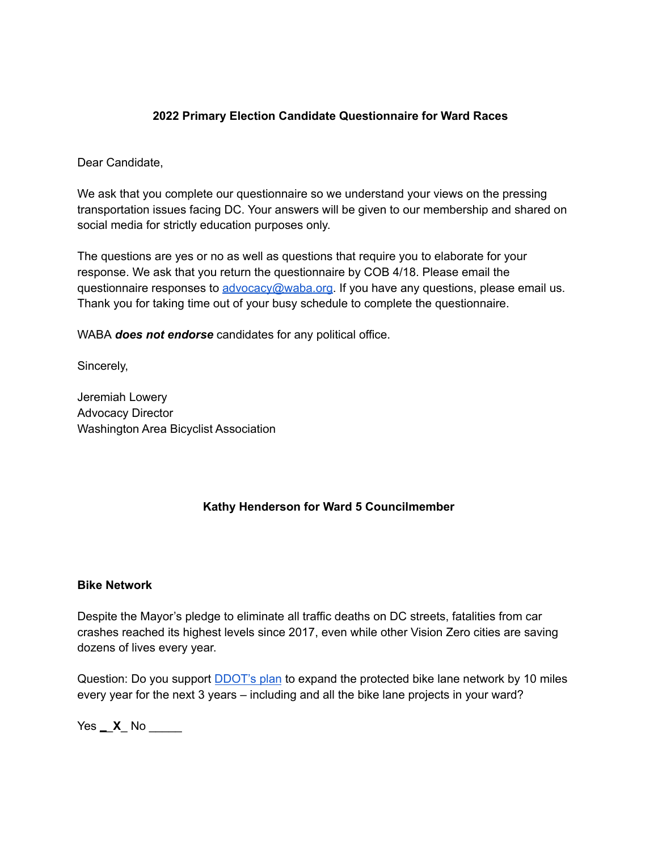### **2022 Primary Election Candidate Questionnaire for Ward Races**

Dear Candidate,

We ask that you complete our questionnaire so we understand your views on the pressing transportation issues facing DC. Your answers will be given to our membership and shared on social media for strictly education purposes only.

The questions are yes or no as well as questions that require you to elaborate for your response. We ask that you return the questionnaire by COB 4/18. Please email the questionnaire responses to [advocacy@waba.org.](mailto:jeremiah.lowery@waba.org) If you have any questions, please email us. Thank you for taking time out of your busy schedule to complete the questionnaire.

WABA *does not endorse* candidates for any political office.

Sincerely,

Jeremiah Lowery Advocacy Director Washington Area Bicyclist Association

## **Kathy Henderson for Ward 5 Councilmember**

#### **Bike Network**

Despite the Mayor's pledge to eliminate all traffic deaths on DC streets, fatalities from car crashes reached its highest levels since 2017, even while other Vision Zero cities are saving dozens of lives every year.

Question: Do you support **[DDOT's plan](https://ddot.dc.gov/page/bicycle-lanes)** to expand the protected bike lane network by 10 miles every year for the next 3 years – including and all the bike lane projects in your ward?

Yes \_\_**X**\_ No \_\_\_\_\_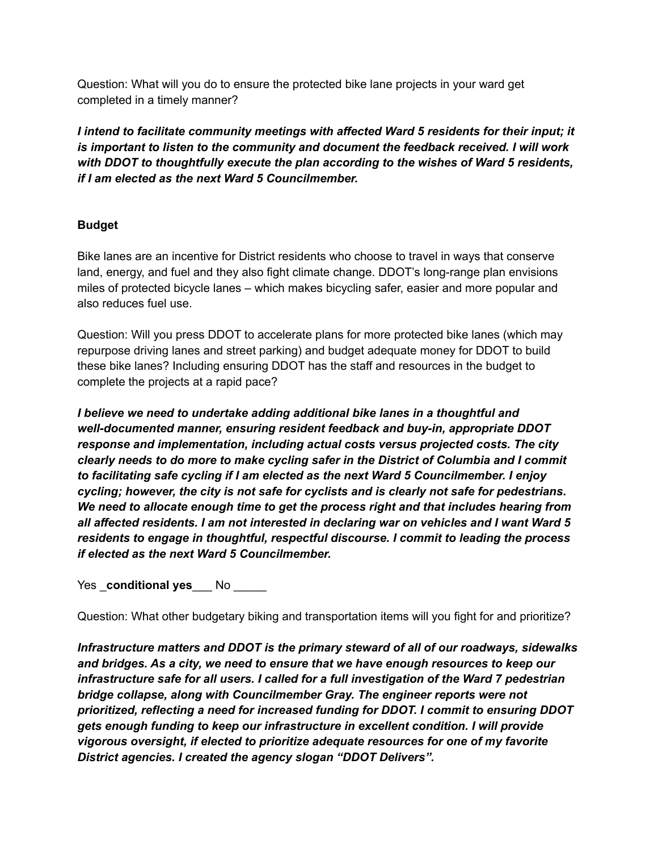Question: What will you do to ensure the protected bike lane projects in your ward get completed in a timely manner?

*I intend to facilitate community meetings with affected Ward 5 residents for their input; it is important to listen to the community and document the feedback received. I will work with DDOT to thoughtfully execute the plan according to the wishes of Ward 5 residents, if I am elected as the next Ward 5 Councilmember.*

## **Budget**

Bike lanes are an incentive for District residents who choose to travel in ways that conserve land, energy, and fuel and they also fight climate change. DDOT's long-range plan envisions miles of protected bicycle lanes – which makes bicycling safer, easier and more popular and also reduces fuel use.

Question: Will you press DDOT to accelerate plans for more protected bike lanes (which may repurpose driving lanes and street parking) and budget adequate money for DDOT to build these bike lanes? Including ensuring DDOT has the staff and resources in the budget to complete the projects at a rapid pace?

*I believe we need to undertake adding additional bike lanes in a thoughtful and well-documented manner, ensuring resident feedback and buy-in, appropriate DDOT response and implementation, including actual costs versus projected costs. The city clearly needs to do more to make cycling safer in the District of Columbia and I commit to facilitating safe cycling if I am elected as the next Ward 5 Councilmember. I enjoy cycling; however, the city is not safe for cyclists and is clearly not safe for pedestrians. We need to allocate enough time to get the process right and that includes hearing from all affected residents. I am not interested in declaring war on vehicles and I want Ward 5 residents to engage in thoughtful, respectful discourse. I commit to leading the process if elected as the next Ward 5 Councilmember.*

Yes conditional yes No

Question: What other budgetary biking and transportation items will you fight for and prioritize?

*Infrastructure matters and DDOT is the primary steward of all of our roadways, sidewalks and bridges. As a city, we need to ensure that we have enough resources to keep our infrastructure safe for all users. I called for a full investigation of the Ward 7 pedestrian bridge collapse, along with Councilmember Gray. The engineer reports were not prioritized, reflecting a need for increased funding for DDOT. I commit to ensuring DDOT gets enough funding to keep our infrastructure in excellent condition. I will provide vigorous oversight, if elected to prioritize adequate resources for one of my favorite District agencies. I created the agency slogan "DDOT Delivers".*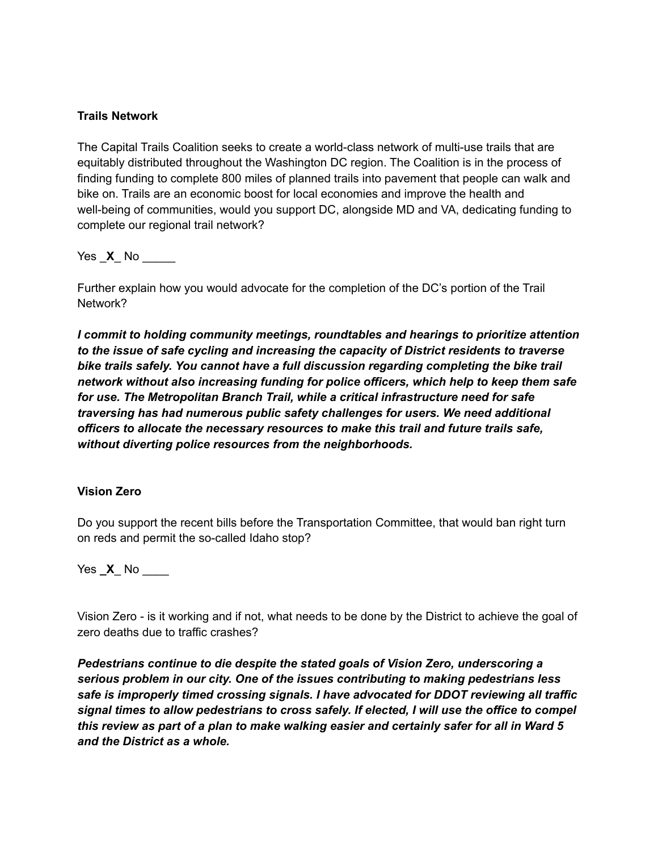### **Trails Network**

The Capital Trails Coalition seeks to create a world-class network of multi-use trails that are equitably distributed throughout the Washington DC region. The Coalition is in the process of finding funding to complete 800 miles of planned trails into pavement that people can walk and bike on. Trails are an economic boost for local economies and improve the health and well-being of communities, would you support DC, alongside MD and VA, dedicating funding to complete our regional trail network?

Yes  $\times$  No  $\overline{\phantom{a}}$ 

Further explain how you would advocate for the completion of the DC's portion of the Trail Network?

*I commit to holding community meetings, roundtables and hearings to prioritize attention to the issue of safe cycling and increasing the capacity of District residents to traverse bike trails safely. You cannot have a full discussion regarding completing the bike trail network without also increasing funding for police officers, which help to keep them safe for use. The Metropolitan Branch Trail, while a critical infrastructure need for safe traversing has had numerous public safety challenges for users. We need additional officers to allocate the necessary resources to make this trail and future trails safe, without diverting police resources from the neighborhoods.*

### **Vision Zero**

Do you support the recent bills before the Transportation Committee, that would ban right turn on reds and permit the so-called Idaho stop?

Yes **X** No

Vision Zero - is it working and if not, what needs to be done by the District to achieve the goal of zero deaths due to traffic crashes?

*Pedestrians continue to die despite the stated goals of Vision Zero, underscoring a serious problem in our city. One of the issues contributing to making pedestrians less safe is improperly timed crossing signals. I have advocated for DDOT reviewing all traffic signal times to allow pedestrians to cross safely. If elected, I will use the office to compel this review as part of a plan to make walking easier and certainly safer for all in Ward 5 and the District as a whole.*